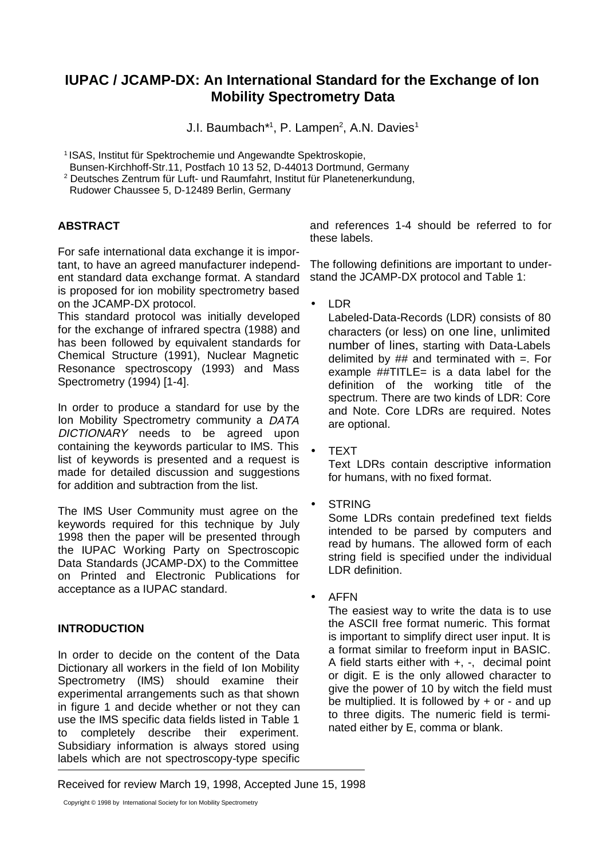# **IUPAC / JCAMP-DX: An International Standard for the Exchange of Ion Mobility Spectrometry Data**

J.I. Baumbach\*1, P. Lampen<sup>2</sup>, A.N. Davies<sup>1</sup>

1 ISAS, Institut für Spektrochemie und Angewandte Spektroskopie,

Bunsen-Kirchhoff-Str.11, Postfach 10 13 52, D-44013 Dortmund, Germany

2 Deutsches Zentrum für Luft- und Raumfahrt, Institut für Planetenerkundung,

Rudower Chaussee 5, D-12489 Berlin, Germany

## **ABSTRACT**

For safe international data exchange it is important, to have an agreed manufacturer independent standard data exchange format. A standard is proposed for ion mobility spectrometry based on the JCAMP-DX protocol.

This standard protocol was initially developed for the exchange of infrared spectra (1988) and has been followed by equivalent standards for Chemical Structure (1991), Nuclear Magnetic Resonance spectroscopy (1993) and Mass Spectrometry (1994) [1-4].

In order to produce a standard for use by the Ion Mobility Spectrometry community a DATA DICTIONARY needs to be agreed upon containing the keywords particular to IMS. This list of keywords is presented and a request is made for detailed discussion and suggestions for addition and subtraction from the list.

The IMS User Community must agree on the keywords required for this technique by July 1998 then the paper will be presented through the IUPAC Working Party on Spectroscopic Data Standards (JCAMP-DX) to the Committee on Printed and Electronic Publications for acceptance as a IUPAC standard.

## **INTRODUCTION**

In order to decide on the content of the Data Dictionary all workers in the field of Ion Mobility Spectrometry (IMS) should examine their experimental arrangements such as that shown in figure 1 and decide whether or not they can use the IMS specific data fields listed in Table 1 to completely describe their experiment. Subsidiary information is always stored using labels which are not spectroscopy-type specific

and references 1-4 should be referred to for these labels.

The following definitions are important to understand the JCAMP-DX protocol and Table 1:

• LDR

Labeled-Data-Records (LDR) consists of 80 characters (or less) on one line, unlimited number of lines, starting with Data-Labels delimited by  $##$  and terminated with  $=$ . For example  $\#$ *#TITLE*= is a data label for the definition of the working title of the spectrum. There are two kinds of LDR: Core and Note. Core LDRs are required. Notes are optional.

• TEXT

Text LDRs contain descriptive information for humans, with no fixed format.

**STRING** 

Some LDRs contain predefined text fields intended to be parsed by computers and read by humans. The allowed form of each string field is specified under the individual LDR definition.

• AFFN

The easiest way to write the data is to use the ASCII free format numeric. This format is important to simplify direct user input. It is a format similar to freeform input in BASIC. A field starts either with +, -, decimal point or digit. E is the only allowed character to give the power of 10 by witch the field must be multiplied. It is followed by  $+$  or  $-$  and up to three digits. The numeric field is terminated either by E, comma or blank.

Received for review March 19, 1998, Accepted June 15, 1998

Copyright © 1998 by International Society for Ion Mobility Spectrometry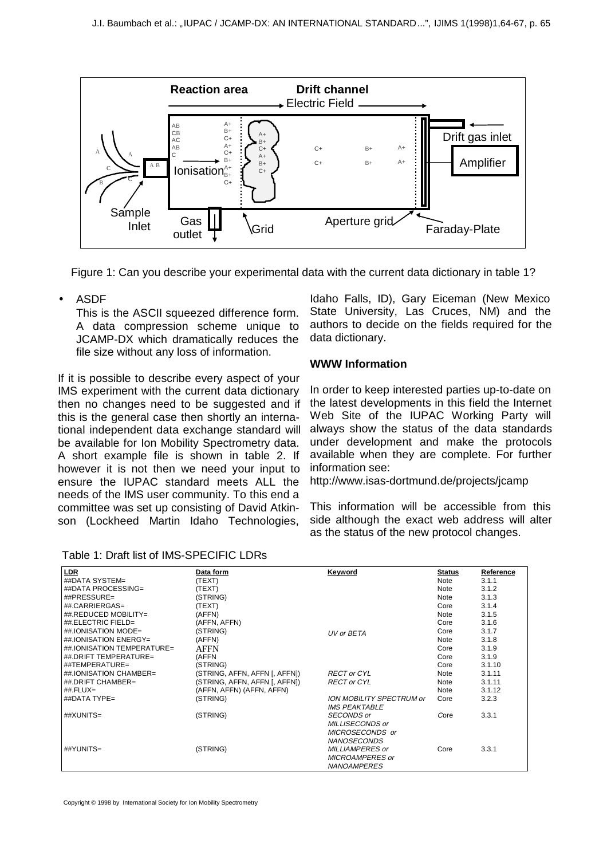

Figure 1: Can you describe your experimental data with the current data dictionary in table 1?

• ASDF

This is the ASCII squeezed difference form. A data compression scheme unique to JCAMP-DX which dramatically reduces the file size without any loss of information.

If it is possible to describe every aspect of your IMS experiment with the current data dictionary then no changes need to be suggested and if this is the general case then shortly an international independent data exchange standard will be available for Ion Mobility Spectrometry data. A short example file is shown in table 2. If however it is not then we need your input to ensure the IUPAC standard meets ALL the needs of the IMS user community. To this end a committee was set up consisting of David Atkinson (Lockheed Martin Idaho Technologies,

Idaho Falls, ID), Gary Eiceman (New Mexico State University, Las Cruces, NM) and the authors to decide on the fields required for the data dictionary.

#### **WWW Information**

In order to keep interested parties up-to-date on the latest developments in this field the Internet Web Site of the IUPAC Working Party will always show the status of the data standards under development and make the protocols available when they are complete. For further information see:

http://www.isas-dortmund.de/projects/jcamp

This information will be accessible from this side although the exact web address will alter as the status of the new protocol changes.

| LDR                        | Data form                     | <b>Keyword</b>                                          | <b>Status</b> | Reference |
|----------------------------|-------------------------------|---------------------------------------------------------|---------------|-----------|
| ##DATA SYSTEM=             | (TEXT)                        |                                                         | <b>Note</b>   | 3.1.1     |
| ##DATA PROCESSING=         | (TEXT)                        |                                                         | <b>Note</b>   | 3.1.2     |
| ##PRESSURE=                | (STRING)                      |                                                         | Note          | 3.1.3     |
| ##.CARRIERGAS=             | (TEXT)                        |                                                         | Core          | 3.1.4     |
| ##.REDUCED MOBILITY=       | (AFFN)                        |                                                         | Note          | 3.1.5     |
| ##.ELECTRIC FIELD=         | (AFFN, AFFN)                  |                                                         | Core          | 3.1.6     |
| ##.IONISATION MODE=        | (STRING)                      | UV or BETA                                              | Core          | 3.1.7     |
| ##.IONISATION ENERGY=      | (AFFN)                        |                                                         | Note          | 3.1.8     |
| ##.IONISATION TEMPERATURE= | AFFN                          |                                                         | Core          | 3.1.9     |
| ##.DRIFT TEMPERATURE=      | (AFFN                         |                                                         | Core          | 3.1.9     |
| $\#$ FEMPERATURE=          | (STRING)                      |                                                         | Core          | 3.1.10    |
| ## IONISATION CHAMBER=     | (STRING, AFFN, AFFN [, AFFN]) | <b>RECT or CYL</b>                                      | <b>Note</b>   | 3.1.11    |
| ## DRIFT CHAMBER=          | (STRING, AFFN, AFFN [, AFFN]) | <b>RECT or CYL</b>                                      | <b>Note</b>   | 3.1.11    |
| ## $FLUX =$                | (AFFN, AFFN) (AFFN, AFFN)     |                                                         | <b>Note</b>   | 3.1.12    |
| ##DATA TYPE=               | (STRING)                      | <b>ION MOBILITY SPECTRUM or</b><br><b>IMS PEAKTABLE</b> | Core          | 3.2.3     |
| ##XUNITS=                  | (STRING)                      | <b>SECONDS</b> or                                       | Core          | 3.3.1     |
|                            |                               | MILLISECONDS or                                         |               |           |
|                            |                               | MICROSECONDS or                                         |               |           |
|                            |                               | <b>NANOSECONDS</b>                                      |               |           |
| ##YUNITS=                  | (STRING)                      | MILLIAMPERES or                                         | Core          | 3.3.1     |
|                            |                               | <b>MICROAMPERES or</b>                                  |               |           |
|                            |                               | <b>NANOAMPERES</b>                                      |               |           |

Table 1: Draft list of IMS-SPECIFIC LDRs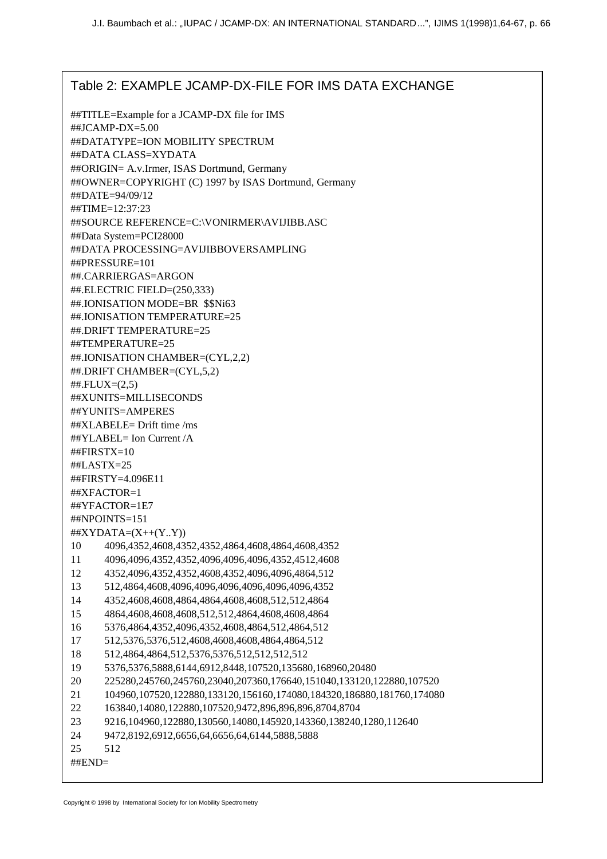# Table 2: EXAMPLE JCAMP-DX-FILE FOR IMS DATA EXCHANGE

##TITLE=Example for a JCAMP-DX file for IMS ##JCAMP-DX=5.00 ##DATATYPE=ION MOBILITY SPECTRUM ##DATA CLASS=XYDATA ##ORIGIN= A.v.Irmer, ISAS Dortmund, Germany ##OWNER=COPYRIGHT (C) 1997 by ISAS Dortmund, Germany ##DATE=94/09/12 ##TIME=12:37:23 ##SOURCE REFERENCE=C:\VONIRMER\AVIJIBB.ASC ##Data System=PCI28000 ##DATA PROCESSING=AVIJIBBOVERSAMPLING ##PRESSURE=101 ##.CARRIERGAS=ARGON ##.ELECTRIC FIELD=(250,333) ##.IONISATION MODE=BR \$\$Ni63 ##.IONISATION TEMPERATURE=25 ##.DRIFT TEMPERATURE=25 ##TEMPERATURE=25 ##.IONISATION CHAMBER=(CYL,2,2) ##.DRIFT CHAMBER=(CYL,5,2)  $\#$ #.FLUX= $(2,5)$ ##XUNITS=MILLISECONDS ##YUNITS=AMPERES ##XLABELE= Drift time /ms ##YLABEL= Ion Current /A ##FIRSTX=10 ##LASTX=25 ##FIRSTY=4.096E11 ##XFACTOR=1 ##YFACTOR=1E7 ##NPOINTS=151  $\#$ #XYDATA= $(X++(Y, Y))$ 10 4096,4352,4608,4352,4352,4864,4608,4864,4608,4352 11 4096,4096,4352,4352,4096,4096,4096,4352,4512,4608 12 4352,4096,4352,4352,4608,4352,4096,4096,4864,512 13 512,4864,4608,4096,4096,4096,4096,4096,4096,4352 14 4352,4608,4608,4864,4864,4608,4608,512,512,4864 15 4864,4608,4608,4608,512,512,4864,4608,4608,4864 16 5376,4864,4352,4096,4352,4608,4864,512,4864,512 17 512,5376,5376,512,4608,4608,4608,4864,4864,512 18 512,4864,4864,512,5376,5376,512,512,512,512 19 5376,5376,5888,6144,6912,8448,107520,135680,168960,20480 20 225280,245760,245760,23040,207360,176640,151040,133120,122880,107520 21 104960,107520,122880,133120,156160,174080,184320,186880,181760,174080 22 163840,14080,122880,107520,9472,896,896,896,8704,8704 23 9216,104960,122880,130560,14080,145920,143360,138240,1280,112640 24 9472,8192,6912,6656,64,6656,64,6144,5888,5888 25 512 ##END=